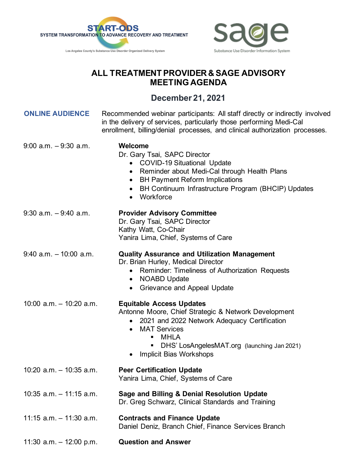



## **ALL TREATMENT PROVIDER & SAGE ADVISORY MEETING AGENDA**

## **December 21, 2021**

| <b>ONLINE AUDIENCE</b>     | Recommended webinar participants: All staff directly or indirectly involved<br>in the delivery of services, particularly those performing Medi-Cal<br>enrollment, billing/denial processes, and clinical authorization processes.                                                        |
|----------------------------|------------------------------------------------------------------------------------------------------------------------------------------------------------------------------------------------------------------------------------------------------------------------------------------|
| $9:00$ a.m. $-9:30$ a.m.   | Welcome<br>Dr. Gary Tsai, SAPC Director<br>• COVID-19 Situational Update<br>Reminder about Medi-Cal through Health Plans<br>$\bullet$<br><b>BH Payment Reform Implications</b><br>$\bullet$<br>BH Continuum Infrastructure Program (BHCIP) Updates<br>$\bullet$<br>• Workforce           |
| $9:30$ a.m. $-9:40$ a.m.   | <b>Provider Advisory Committee</b><br>Dr. Gary Tsai, SAPC Director<br>Kathy Watt, Co-Chair<br>Yanira Lima, Chief, Systems of Care                                                                                                                                                        |
| $9:40$ a.m. $-10:00$ a.m.  | <b>Quality Assurance and Utilization Management</b><br>Dr. Brian Hurley, Medical Director<br>• Reminder: Timeliness of Authorization Requests<br><b>NOABD Update</b><br>Grievance and Appeal Update<br>$\bullet$                                                                         |
| $10:00$ a.m. $-10:20$ a.m. | <b>Equitable Access Updates</b><br>Antonne Moore, Chief Strategic & Network Development<br>• 2021 and 2022 Network Adequacy Certification<br><b>MAT Services</b><br>$\bullet$<br><b>MHLA</b><br>π.<br>DHS' LosAngelesMAT.org (launching Jan 2021)<br>Ξ<br><b>Implicit Bias Workshops</b> |
| $10:20$ a.m. $-10:35$ a.m. | <b>Peer Certification Update</b><br>Yanira Lima, Chief, Systems of Care                                                                                                                                                                                                                  |
| $10:35$ a.m. $-11:15$ a.m. | Sage and Billing & Denial Resolution Update<br>Dr. Greg Schwarz, Clinical Standards and Training                                                                                                                                                                                         |
| $11:15$ a.m. $-11:30$ a.m. | <b>Contracts and Finance Update</b><br>Daniel Deniz, Branch Chief, Finance Services Branch                                                                                                                                                                                               |
| 11:30 $a.m. - 12:00 p.m.$  | <b>Question and Answer</b>                                                                                                                                                                                                                                                               |